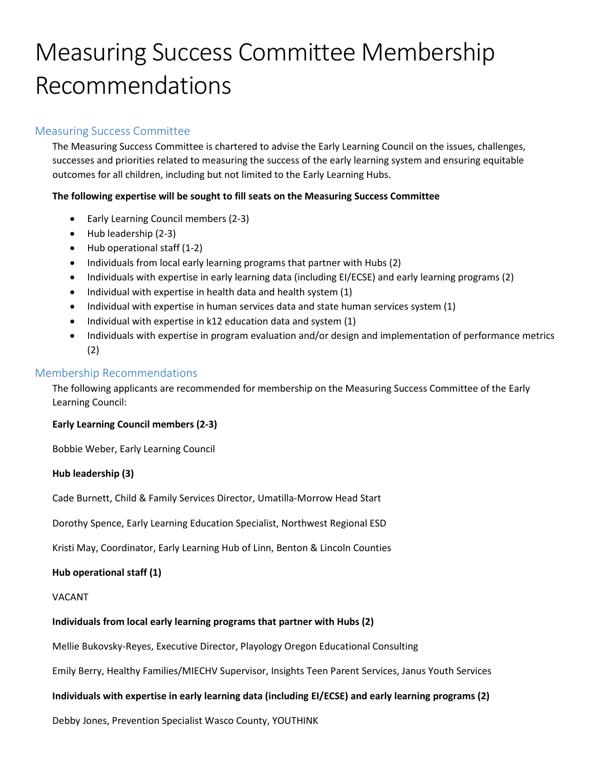# Measuring Success Committee Membership Recommendations

# Measuring Success Committee

The Measuring Success Committee is chartered to advise the Early Learning Council on the issues, challenges, successes and priorities related to measuring the success of the early learning system and ensuring equitable outcomes for all children, including but not limited to the Early Learning Hubs.

## **The following expertise will be sought to fill seats on the Measuring Success Committee**

- Early Learning Council members (2-3)
- Hub leadership (2-3)
- Hub operational staff (1-2)
- Individuals from local early learning programs that partner with Hubs (2)
- Individuals with expertise in early learning data (including EI/ECSE) and early learning programs (2)
- Individual with expertise in health data and health system (1)
- Individual with expertise in human services data and state human services system (1)
- Individual with expertise in k12 education data and system (1)
- Individuals with expertise in program evaluation and/or design and implementation of performance metrics (2)

## Membership Recommendations

The following applicants are recommended for membership on the Measuring Success Committee of the Early Learning Council:

#### **Early Learning Council members (2-3)**

Bobbie Weber, Early Learning Council

#### **Hub leadership (3)**

Cade Burnett, Child & Family Services Director, Umatilla-Morrow Head Start

Dorothy Spence, Early Learning Education Specialist, Northwest Regional ESD

Kristi May, Coordinator, Early Learning Hub of Linn, Benton & Lincoln Counties

## **Hub operational staff (1)**

#### VACANT

#### **Individuals from local early learning programs that partner with Hubs (2)**

Mellie Bukovsky-Reyes, Executive Director, Playology Oregon Educational Consulting

Emily Berry, Healthy Families/MIECHV Supervisor, Insights Teen Parent Services, Janus Youth Services

#### **Individuals with expertise in early learning data (including EI/ECSE) and early learning programs (2)**

Debby Jones, Prevention Specialist Wasco County, YOUTHINK